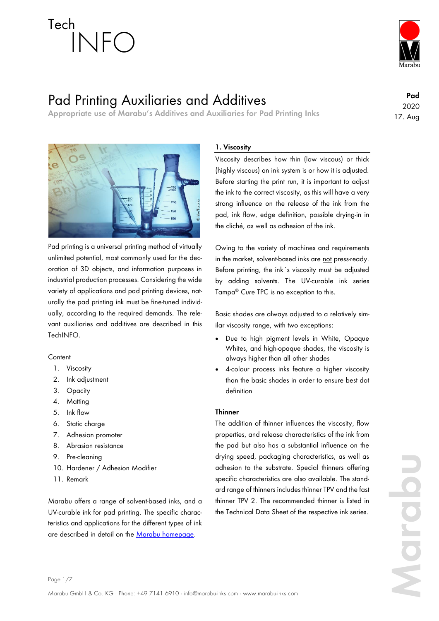

## Pad Printing Auxiliaries and Additives

**Appropriate use of Marabu's Additives and Auxiliaries for Pad Printing Inks**

**Pad** 2020 17. Aug



Pad printing is a universal printing method of virtually unlimited potential, most commonly used for the decoration of 3D objects, and information purposes in industrial production processes. Considering the wide variety of applications and pad printing devices, naturally the pad printing ink must be fine-tuned individually, according to the required demands. The relevant auxiliaries and additives are described in this TechINFO.

## **Content**

- 1. Viscosity
- 2. Ink adjustment
- 3. Opacity
- 4. Matting
- 5. Ink flow
- 6. Static charge
- 7. Adhesion promoter
- 8. Abrasion resistance
- 9. Pre-cleaning
- 10. Hardener / Adhesion Modifier
- 11. Remark

Marabu offers a range of solvent-based inks, and a UV-curable ink for pad printing. The specific characteristics and applications for the different types of ink are described in detail on the [Marabu homepage.](http://www.marabu-inks.com/)

## **1. Viscosity**

Viscosity describes how thin (low viscous) or thick (highly viscous) an ink system is or how it is adjusted. Before starting the print run, it is important to adjust the ink to the correct viscosity, as this will have a very strong influence on the release of the ink from the pad, ink flow, edge definition, possible drying-in in the cliché, as well as adhesion of the ink.

Owing to the variety of machines and requirements in the market, solvent-based inks are not press-ready. Before printing, the ink´s viscosity must be adjusted by adding solvents. The UV-curable ink series Tampa® *Cure* TPC is no exception to this.

Basic shades are always adjusted to a relatively similar viscosity range, with two exceptions:

- Due to high pigment levels in White, Opaque Whites, and high-opaque shades, the viscosity is always higher than all other shades
- 4-colour process inks feature a higher viscosity than the basic shades in order to ensure best dot definition

## **Thinner**

The addition of thinner influences the viscosity, flow properties, and release characteristics of the ink from the pad but also has a substantial influence on the drying speed, packaging characteristics, as well as adhesion to the substrate. Special thinners offering specific characteristics are also available. The standard range of thinners includes thinner TPV and the fast thinner TPV 2. The recommended thinner is listed in the Technical Data Sheet of the respective ink series.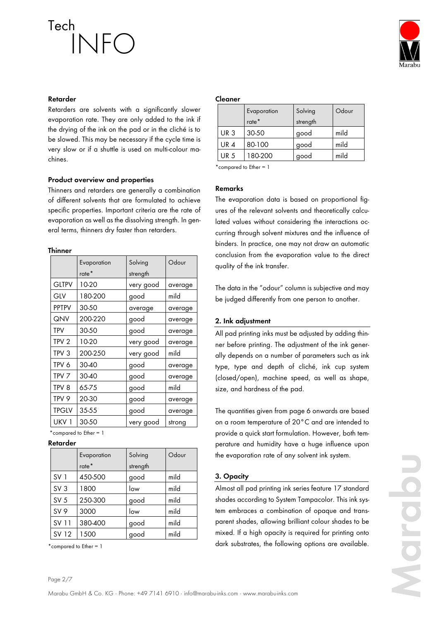

### **Retarder**

Retarders are solvents with a significantly slower evaporation rate. They are only added to the ink if the drying of the ink on the pad or in the cliché is to be slowed. This may be necessary if the cycle time is very slow or if a shuttle is used on multi-colour machines.

### **Product overview and properties**

Thinners and retarders are generally a combination of different solvents that are formulated to achieve specific properties. Important criteria are the rate of evaporation as well as the dissolving strength. In general terms, thinners dry faster than retarders.

### **Thinner**

|                  | Evaporation       | Solving   | Odour   |
|------------------|-------------------|-----------|---------|
|                  | rate <sup>*</sup> | strength  |         |
| <b>GLTPV</b>     | 10-20             | very good | average |
| GIV              | 180-200           | good      | mild    |
| <b>PPTPV</b>     | 30-50             | average   | average |
| QNV              | 200-220           | good      | average |
| TPV              | 30-50             | good      | average |
| TPV 2            | 10-20             | very good | average |
| TPV 3            | 200-250           | very good | mild    |
| TPV 6            | 30-40             | good      | average |
| TPV 7            | 30-40             | good      | average |
| TPV 8            | 65-75             | good      | mild    |
| TPV 9            | 20-30             | good      | average |
| <b>TPGLV</b>     | 35-55             | good      | average |
| UKV <sub>1</sub> | 30-50             | very good | strong  |

\*compared to Ether = 1

### **Retarder**

|                 | Evaporation | Solving  | Odour |
|-----------------|-------------|----------|-------|
|                 | rate*       | strength |       |
| SV <sub>1</sub> | 450-500     | good     | mild  |
| SV <sub>3</sub> | 1800        | low      | mild  |
| SV <sub>5</sub> | 250-300     | good     | mild  |
| SV 9            | 3000        | low      | mild  |
| SV 11           | 380-400     | good     | mild  |
| SV 12           | 1500        | good     | mild  |

\*compared to Ether = 1

### **Cleaner**

|                 | Evaporation | Solving  | Odour |
|-----------------|-------------|----------|-------|
|                 | $rate*$     | strength |       |
| UR <sub>3</sub> | 30-50       | good     | mild  |
| <b>UR4</b>      | 80-100      | good     | mild  |
| <b>UR 5</b>     | 180-200     | good     | mild  |

\*compared to Ether = 1

### **Remarks**

The evaporation data is based on proportional figures of the relevant solvents and theoretically calculated values without considering the interactions occurring through solvent mixtures and the influence of binders. In practice, one may not draw an automatic conclusion from the evaporation value to the direct quality of the ink transfer.

The data in the "odour" column is subjective and may be judged differently from one person to another.

### **2. Ink adjustment**

All pad printing inks must be adjusted by adding thinner before printing. The adjustment of the ink generally depends on a number of parameters such as ink type, type and depth of cliché, ink cup system (closed/open), machine speed, as well as shape, size, and hardness of the pad.

The quantities given from page 6 onwards are based on a room temperature of 20°C and are intended to provide a quick start formulation. However, both temperature and humidity have a huge influence upon the evaporation rate of any solvent ink system.

### **3. Opacity**

Almost all pad printing ink series feature 17 standard shades according to System Tampacolor. This ink system embraces a combination of opaque and transparent shades, allowing brilliant colour shades to be mixed. If a high opacity is required for printing onto dark substrates, the following options are available.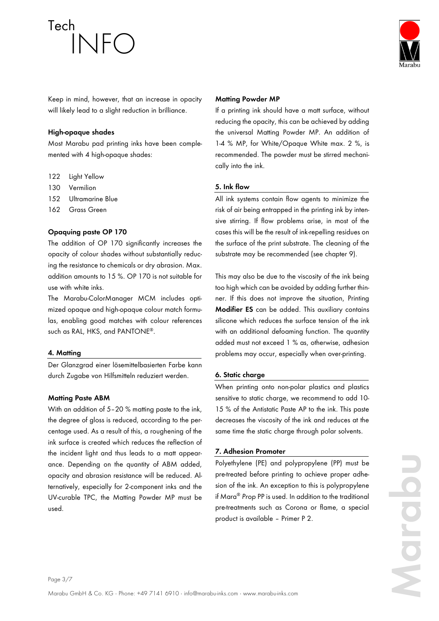

Keep in mind, however, that an increase in opacity will likely lead to a slight reduction in brilliance.

## **High-opaque shades**

Most Marabu pad printing inks have been complemented with 4 high-opaque shades:

- 122 Light Yellow
- 130 Vermilion
- 152 Ultramarine Blue
- 162 Grass Green

## **Opaquing paste OP 170**

The addition of OP 170 significantly increases the opacity of colour shades without substantially reducing the resistance to chemicals or dry abrasion. Max. addition amounts to 15 %. OP 170 is not suitable for use with white inks.

The Marabu-ColorManager MCM includes optimized opaque and high-opaque colour match formulas, enabling good matches with colour references such as RAL, HKS, and PANTONE® .

### **4. Matting**

Der Glanzgrad einer lösemittelbasierten Farbe kann durch Zugabe von Hilfsmitteln reduziert werden.

## **Matting Paste ABM**

With an addition of 5-20 % matting paste to the ink, the degree of gloss is reduced, according to the percentage used. As a result of this, a roughening of the ink surface is created which reduces the reflection of the incident light and thus leads to a matt appearance. Depending on the quantity of ABM added, opacity and abrasion resistance will be reduced. Alternatively, especially for 2-component inks and the UV-curable TPC, the Matting Powder MP must be used.

## **Matting Powder MP**

If a printing ink should have a matt surface, without reducing the opacity, this can be achieved by adding the universal Matting Powder MP. An addition of 1-4 % MP, for White/Opaque White max. 2 %, is recommended. The powder must be stirred mechanically into the ink.

## **5. Ink flow**

All ink systems contain flow agents to minimize the risk of air being entrapped in the printing ink by intensive stirring. If flow problems arise, in most of the cases this will be the result of ink-repelling residues on the surface of the print substrate. The cleaning of the substrate may be recommended (see chapter 9).

This may also be due to the viscosity of the ink being too high which can be avoided by adding further thinner. If this does not improve the situation, Printing **Modifier ES** can be added. This auxiliary contains silicone which reduces the surface tension of the ink with an additional defoaming function. The quantity added must not exceed 1 % as, otherwise, adhesion problems may occur, especially when over-printing.

## **6. Static charge**

When printing onto non-polar plastics and plastics sensitive to static charge, we recommend to add 10- 15 % of the Antistatic Paste AP to the ink. This paste decreases the viscosity of the ink and reduces at the same time the static charge through polar solvents.

## **7. Adhesion Promoter**

Polyethylene (PE) and polypropylene (PP) must be pre-treated before printing to achieve proper adhesion of the ink. An exception to this is polypropylene if Mara® *Prop* PP is used. In addition to the traditional pre-treatments such as Corona or flame, a special product is available – Primer P 2.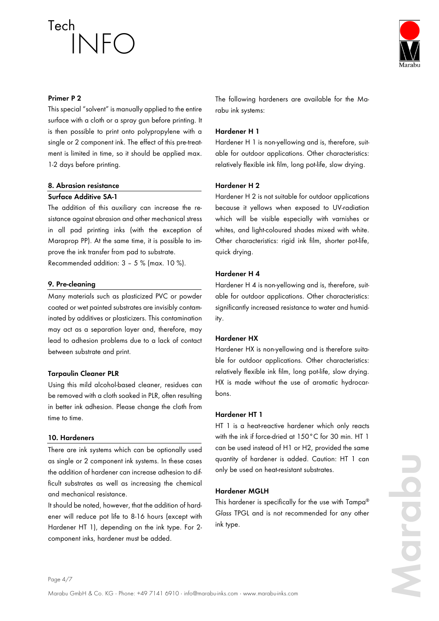

### **Primer P 2**

This special "solvent" is manually applied to the entire surface with a cloth or a spray gun before printing. It is then possible to print onto polypropylene with a single or 2 component ink. The effect of this pre-treatment is limited in time, so it should be applied max. 1-2 days before printing.

### **8. Abrasion resistance**

## **Surface Additive SA-1**

The addition of this auxiliary can increase the resistance against abrasion and other mechanical stress in all pad printing inks (with the exception of Maraprop PP). At the same time, it is possible to improve the ink transfer from pad to substrate. Recommended addition: 3 – 5 % (max. 10 %).

#### **9. Pre-cleaning**

Many materials such as plasticized PVC or powder coated or wet painted substrates are invisibly contaminated by additives or plasticizers. This contamination may act as a separation layer and, therefore, may lead to adhesion problems due to a lack of contact between substrate and print.

### **Tarpaulin Cleaner PLR**

Using this mild alcohol-based cleaner, residues can be removed with a cloth soaked in PLR, often resulting in better ink adhesion. Please change the cloth from time to time.

#### **10. Hardeners**

There are ink systems which can be optionally used as single or 2 component ink systems. In these cases the addition of hardener can increase adhesion to difficult substrates as well as increasing the chemical and mechanical resistance.

It should be noted, however, that the addition of hardener will reduce pot life to 8-16 hours (except with Hardener HT 1), depending on the ink type. For 2 component inks, hardener must be added.

The following hardeners are available for the Marabu ink systems:

#### **Hardener H 1**

Hardener H 1 is non-yellowing and is, therefore, suitable for outdoor applications. Other characteristics: relatively flexible ink film, long pot-life, slow drying.

### **Hardener H 2**

Hardener H 2 is not suitable for outdoor applications because it yellows when exposed to UV-radiation which will be visible especially with varnishes or whites, and light-coloured shades mixed with white. Other characteristics: rigid ink film, shorter pot-life, quick drying.

## **Hardener H 4**

Hardener H 4 is non-yellowing and is, therefore, suitable for outdoor applications. Other characteristics: significantly increased resistance to water and humidity.

### **Hardener HX**

Hardener HX is non-yellowing and is therefore suitable for outdoor applications. Other characteristics: relatively flexible ink film, long pot-life, slow drying. HX is made without the use of aromatic hydrocarbons.

### **Hardener HT 1**

HT 1 is a heat-reactive hardener which only reacts with the ink if force-dried at 150°C for 30 min. HT 1 can be used instead of H1 or H2, provided the same quantity of hardener is added. Caution: HT 1 can only be used on heat-resistant substrates.

### **Hardener MGLH**

This hardener is specifically for the use with Tampa® *Glass* TPGL and is not recommended for any other ink type.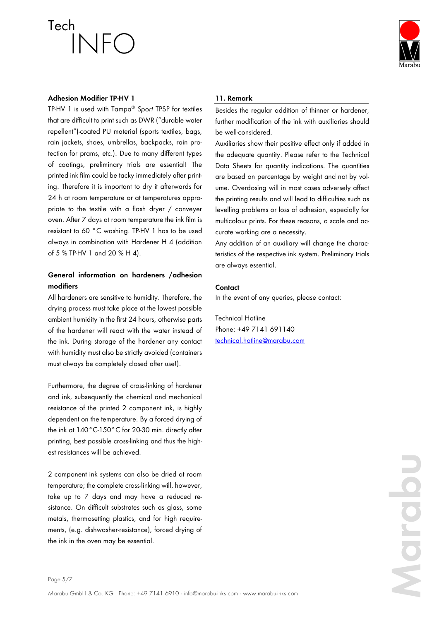

### **Adhesion Modifier TP-HV 1**

TP-HV 1 is used with Tampa® *Sport* TPSP for textiles that are difficult to print such as DWR ("durable water repellent")-coated PU material (sports textiles, bags, rain jackets, shoes, umbrellas, backpacks, rain protection for prams, etc.). Due to many different types of coatings, preliminary trials are essential! The printed ink film could be tacky immediately after printing. Therefore it is important to dry it afterwards for 24 h at room temperature or at temperatures appropriate to the textile with a flash dryer / conveyer oven. After 7 days at room temperature the ink film is resistant to 60 °C washing. TP-HV 1 has to be used always in combination with Hardener H 4 (addition of 5 % TP-HV 1 and 20 % H 4).

## **General information on hardeners /adhesion modifiers**

All hardeners are sensitive to humidity. Therefore, the drying process must take place at the lowest possible ambient humidity in the first 24 hours, otherwise parts of the hardener will react with the water instead of the ink. During storage of the hardener any contact with humidity must also be strictly avoided (containers must always be completely closed after use!).

Furthermore, the degree of cross-linking of hardener and ink, subsequently the chemical and mechanical resistance of the printed 2 component ink, is highly dependent on the temperature. By a forced drying of the ink at 140°C-150°C for 20-30 min. directly after printing, best possible cross-linking and thus the highest resistances will be achieved.

2 component ink systems can also be dried at room temperature; the complete cross-linking will, however, take up to 7 days and may have a reduced resistance. On difficult substrates such as glass, some metals, thermosetting plastics, and for high requirements, (e.g. dishwasher-resistance), forced drying of the ink in the oven may be essential.

### **11. Remark**

Besides the regular addition of thinner or hardener, further modification of the ink with auxiliaries should be well-considered.

Auxiliaries show their positive effect only if added in the adequate quantity. Please refer to the Technical Data Sheets for quantity indications. The quantities are based on percentage by weight and not by volume. Overdosing will in most cases adversely affect the printing results and will lead to difficulties such as levelling problems or loss of adhesion, especially for multicolour prints. For these reasons, a scale and accurate working are a necessity.

Any addition of an auxiliary will change the characteristics of the respective ink system. Preliminary trials are always essential.

#### **Contact**

In the event of any queries, please contact:

Technical Hotline Phone: +49 7141 691140 [technical.hotline@marabu.com](mailto:technical.hotline@marabu.com)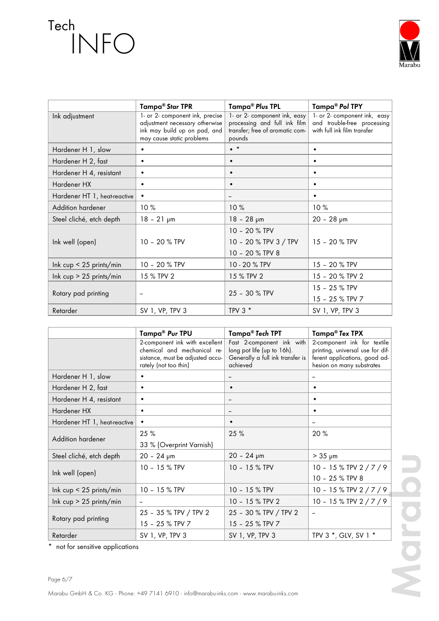

|                              | Tampa <sup>®</sup> Star TPR                                                                                                    | Tampa® Plus TPL                                                                                           | Tampa® Pol TPY                                                                             |
|------------------------------|--------------------------------------------------------------------------------------------------------------------------------|-----------------------------------------------------------------------------------------------------------|--------------------------------------------------------------------------------------------|
| Ink adjustment               | 1- or 2- component ink, precise<br>adjustment necessary otherwise<br>ink may build up on pad, and<br>may cause static problems | 1- or 2- component ink, easy<br>processing and full ink film<br>transfer; free of aromatic com-<br>pounds | 1- or 2- component ink, easy<br>and trouble-free processing<br>with full ink film transfer |
| Hardener H 1, slow           |                                                                                                                                | $\bullet$ *                                                                                               | $\bullet$                                                                                  |
| Hardener H 2, fast           | $\bullet$                                                                                                                      | $\bullet$                                                                                                 | $\bullet$                                                                                  |
| Hardener H 4, resistant      | $\bullet$                                                                                                                      | $\bullet$                                                                                                 | $\bullet$                                                                                  |
| Hardener HX                  | $\bullet$                                                                                                                      | $\bullet$                                                                                                 | $\bullet$                                                                                  |
| Hardener HT 1, heat-reactive | $\bullet$                                                                                                                      |                                                                                                           | $\bullet$                                                                                  |
| Addition hardener            | 10%                                                                                                                            | 10%                                                                                                       | 10%                                                                                        |
| Steel cliché, etch depth     | $18 - 21 \text{ µm}$                                                                                                           | $18 - 28 \text{ µm}$                                                                                      | $20 - 28$ pm                                                                               |
| Ink well (open)              | 10 - 20 $%$ TPV                                                                                                                | 10 - 20 % TPV<br>10 - 20 % TPV 3 / TPV<br>10 - 20 % TPV 8                                                 | 15 - 20 % TPV                                                                              |
| Ink $cup < 25$ prints/min    | 10 - 20 % TPV                                                                                                                  | 10 - 20 % TPV                                                                                             | 15 - 20 % TPV                                                                              |
| Ink $cup > 25$ prints/min    | 15 % TPV 2                                                                                                                     | 15 % TPV 2                                                                                                | 15 - 20 % TPV 2                                                                            |
| Rotary pad printing          |                                                                                                                                | 25 - 30 % TPV                                                                                             | 15 - 25 % TPV<br>15 - 25 % TPV 7                                                           |
| Retarder                     | SV 1, VP, TPV 3                                                                                                                | TPV $3*$                                                                                                  | SV 1, VP, TPV 3                                                                            |

|                              | Tampa <sup>®</sup> Pur TPU                                                                                                 | Tampa® Tech TPT                                                                                         | Tampa® Tex TPX                                                                                                                |
|------------------------------|----------------------------------------------------------------------------------------------------------------------------|---------------------------------------------------------------------------------------------------------|-------------------------------------------------------------------------------------------------------------------------------|
|                              | 2-component ink with excellent<br>chemical and mechanical re-<br>sistance, must be adjusted accu-<br>rately (not too thin) | Fast 2-component ink with<br>long pot life (up to 16h).<br>Generally a full ink transfer is<br>achieved | 2-component ink for textile<br>printing, universal use for dif-<br>ferent applications, good ad-<br>hesion on many substrates |
| Hardener H 1, slow           |                                                                                                                            |                                                                                                         |                                                                                                                               |
| Hardener H 2, fast           | ٠                                                                                                                          | $\bullet$                                                                                               | ٠                                                                                                                             |
| Hardener H 4, resistant      | $\bullet$                                                                                                                  |                                                                                                         | ٠                                                                                                                             |
| Hardener HX                  | ٠                                                                                                                          |                                                                                                         | $\bullet$                                                                                                                     |
| Hardener HT 1, heat-reactive |                                                                                                                            | $\bullet$                                                                                               |                                                                                                                               |
| Addition hardener            | 25 %                                                                                                                       | 25 %                                                                                                    | 20 %                                                                                                                          |
|                              | 33 % (Overprint Varnish)                                                                                                   |                                                                                                         |                                                                                                                               |
| Steel cliché, etch depth     | $20 - 24 \text{ µm}$                                                                                                       | $20 - 24 \text{ µm}$                                                                                    | $> 35 \mu m$                                                                                                                  |
| Ink well (open)              | 10 - 15 % TPV                                                                                                              | 10 - 15 % TPV                                                                                           | 10 - 15 % TPV 2 / 7 / 9                                                                                                       |
|                              |                                                                                                                            |                                                                                                         | 10 - 25 % TPV 8                                                                                                               |
| Ink $cup < 25$ prints/min    | 10 - 15 % TPV                                                                                                              | 10 - 15 % TPV                                                                                           | 10 - 15 % TPV 2 / 7 / 9                                                                                                       |
| Ink $cup > 25$ prints/min    |                                                                                                                            | 10 - 15 % TPV 2                                                                                         | 10 - 15 % TPV 2 / 7 / 9                                                                                                       |
| Rotary pad printing          | 25 - 35 % TPV / TPV 2                                                                                                      | 25 - 30 % TPV / TPV 2                                                                                   |                                                                                                                               |
|                              | 15 - 25 % TPV 7                                                                                                            | 15 - 25 % TPV 7                                                                                         |                                                                                                                               |
| Retarder                     | SV 1, VP, TPV 3                                                                                                            | SV 1, VP, TPV 3                                                                                         | TPV 3 *, GLV, SV 1 *                                                                                                          |

\* not for sensitive applications